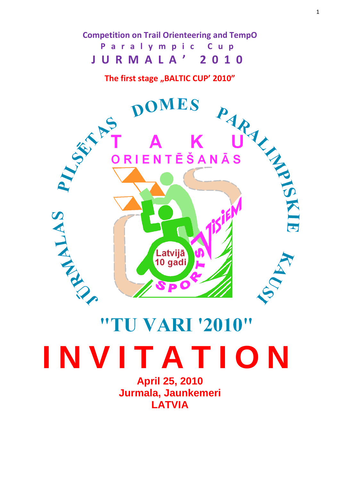# **Competition on Trail Orienteering and TempO P a r a l y m p i c C u p J U R M A L A ' 2 0 1 0**



# "TU VARI '2010" **I N V I T A T I O N**

**April 25, 2010 Jurmala, Jaunkemeri LATVIA**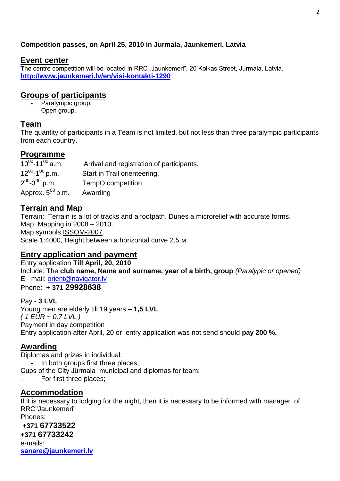#### **Competition passes, on April 25, 2010 in Jurmala, Jaunkemeri, Latvia**

#### **Event center**

The centre competition will be located in RRC "Jaunkemeri", 20 Kolkas Street, Jurmala, Latvia. **<http://www.jaunkemeri.lv/en/visi-kontakti-1290>**

# **Groups of participants**

- Paralympic group;
- Open group.

# **Team**

The quantity of participants in a Team is not limited, but not less than three paralympic participants from each country.

# **Programme**

 $10^{00}$ -11<sup>00</sup> a.m. Arrival and registration of participants.  $12^{00} - 1^{00}$ Start in Trail orienteering.  $2^{00}$ -3 TempO competition Approx.  $5^{00}$  p.m. Awarding

# **Terrain and Map**

Terrain: Terrain is a lot of tracks and a footpath. Dunes a microrelief with accurate forms. Map: Mapping in 2008 – 2010. Map symbols [ISSOM-2007.](http://lazarus.elte.hu/mc/specs/issom2007.pdf) Scale 1:4000, Height between a horizontal curve 2,5 м.

### **Entry application and payment**

Entry application **Till April, 20, 2010** Include: The **club name, Name and surname, year of a birth, group** *(Paralypic or opened)* E - mail: [orient@navigator.lv](mailto:orient@navigator.lv) Phone: **+ 371 29928638**

Pay **- 3 LVL** Young men are elderly till 19 years **– 1,5 LVL** *( 1 EUR ~ 0,7 LVL )* Payment in day competition Entry application after April, 20 or entry application was not send should **pay 200 %.**

### **[Awarding](res://\\ld1062.dll/type=1_word=����������)**

Diplomas and prizes in individual: - In both groups first three places; Cups of the City Jürmala municipal and diplomas for team:

For first three places:

### **[Accommodation](res://\\ld1062.dll/type=1_word=����������)**

If it is necessary to lodging for the night, then it is necessary to be informed with manager of RRC"Jaunkemeri" Phones:

**+371 67733522 +371 67733242**  e-mails: **[sanare@jaunkemeri.lv](mailto:sanare@jaunkemeri.lv)**